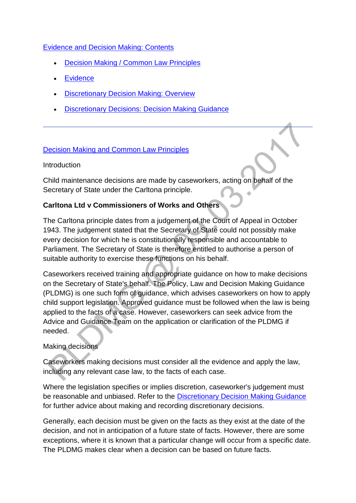### [Evidence and Decision Making: Contents](http://np-cmg-sharepoint.link2.gpn.gov.uk/sites/policy-law-and-decision-making-guidance/Pages/Evidence%20and%20decision%20making/Evidence-and-decision-making.aspx)

- [Decision Making / Common Law Principles](http://np-cmg-sharepoint.link2.gpn.gov.uk/sites/policy-law-and-decision-making-guidance/Pages/Evidence%20and%20decision%20making/Evidence-and-decision-making.aspx#dmclp)
- **[Evidence](http://np-cmg-sharepoint.link2.gpn.gov.uk/sites/policy-law-and-decision-making-guidance/Pages/Evidence%20and%20decision%20making/Evidence-and-decision-making.aspx#evidence)**
- [Discretionary Decision Making: Overview](http://np-cmg-sharepoint.link2.gpn.gov.uk/sites/policy-law-and-decision-making-guidance/Pages/Evidence%20and%20decision%20making/Evidence-and-decision-making.aspx#DDMoverview)
- [Discretionary Decisions: Decision Making Guidance](http://np-cmg-sharepoint.link2.gpn.gov.uk/sites/policy-law-and-decision-making-guidance/Pages/Evidence%20and%20decision%20making/Evidence-and-decision-making.aspx#DDMguidance)

### [Decision Making and Common Law Principles](http://np-cmg-sharepoint.link2.gpn.gov.uk/sites/policy-law-and-decision-making-guidance/Pages/Evidence%20and%20decision%20making/Evidence-and-decision-making.aspx)

#### Introduction

Child maintenance decisions are made by caseworkers, acting on behalf of the Secretary of State under the Carltona principle.

# **Carltona Ltd v Commissioners of Works and Others**

The Carltona principle dates from a judgement of the Court of Appeal in October 1943. The judgement stated that the Secretary of State could not possibly make every decision for which he is constitutionally responsible and accountable to Parliament. The Secretary of State is therefore entitled to authorise a person of suitable authority to exercise these functions on his behalf.

Caseworkers received training and appropriate guidance on how to make decisions on the Secretary of State's behalf. The Policy, Law and Decision Making Guidance (PLDMG) is one such form of guidance, which advises caseworkers on how to apply child support legislation. Approved guidance must be followed when the law is being applied to the facts of a case. However, caseworkers can seek advice from the Advice and Guidance Team on the application or clarification of the PLDMG if needed.

#### Making decisions

Caseworkers making decisions must consider all the evidence and apply the law, including any relevant case law, to the facts of each case.

Where the legislation specifies or implies discretion, caseworker's judgement must be reasonable and unbiased. Refer to the [Discretionary Decision Making Guidance](http://np-cmg-sharepoint.link2.gpn.gov.uk/sites/policy-law-and-decision-making-guidance/Pages/Evidence%20and%20decision%20making/Evidence-and-decision-making.aspx#DDMguidance)  for further advice about making and recording discretionary decisions.

Generally, each decision must be given on the facts as they exist at the date of the decision, and not in anticipation of a future state of facts. However, there are some exceptions, where it is known that a particular change will occur from a specific date. The PLDMG makes clear when a decision can be based on future facts.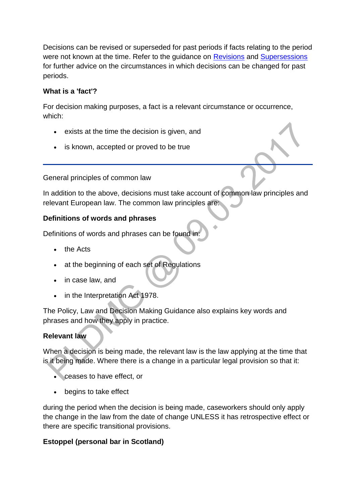Decisions can be revised or superseded for past periods if facts relating to the period were not known at the time. Refer to the guidance on [Revisions](http://np-cmg-sharepoint.link2.gpn.gov.uk/sites/policy-law-and-decision-making-guidance/Pages/Revisions/Revisions.aspx) and [Supersessions](http://np-cmg-sharepoint.link2.gpn.gov.uk/sites/policy-law-and-decision-making-guidance/Pages/Supersessions/Supersessions.aspx) for further advice on the circumstances in which decisions can be changed for past periods.

# **What is a 'fact'?**

For decision making purposes, a fact is a relevant circumstance or occurrence, which:

- exists at the time the decision is given, and
- is known, accepted or proved to be true

General principles of common law

In addition to the above, decisions must take account of common law principles and relevant European law. The common law principles are:

### **Definitions of words and phrases**

Definitions of words and phrases can be found in:

- the Acts
- at the beginning of each set of Regulations
- in case law, and
- in the Interpretation Act 1978.

The Policy, Law and Decision Making Guidance also explains key words and phrases and how they apply in practice.

#### **Relevant law**

When a decision is being made, the relevant law is the law applying at the time that is it being made. Where there is a change in a particular legal provision so that it:

- ceases to have effect, or
- begins to take effect

during the period when the decision is being made, caseworkers should only apply the change in the law from the date of change UNLESS it has retrospective effect or there are specific transitional provisions.

#### **Estoppel (personal bar in Scotland)**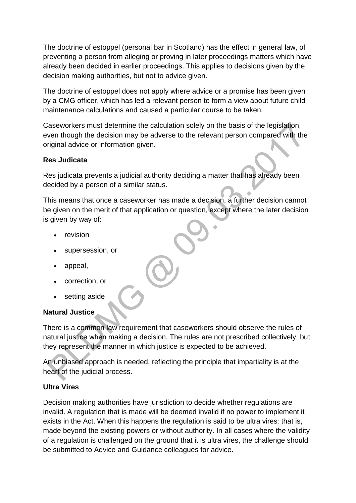The doctrine of estoppel (personal bar in Scotland) has the effect in general law, of preventing a person from alleging or proving in later proceedings matters which have already been decided in earlier proceedings. This applies to decisions given by the decision making authorities, but not to advice given.

The doctrine of estoppel does not apply where advice or a promise has been given by a CMG officer, which has led a relevant person to form a view about future child maintenance calculations and caused a particular course to be taken.

Caseworkers must determine the calculation solely on the basis of the legislation, even though the decision may be adverse to the relevant person compared with the original advice or information given.

#### **Res Judicata**

Res judicata prevents a judicial authority deciding a matter that has already been decided by a person of a similar status.

This means that once a caseworker has made a decision, a further decision cannot be given on the merit of that application or question, except where the later decision is given by way of:

- revision
- supersession, or
- appeal,
- correction, or
- setting aside

#### **Natural Justice**

There is a common law requirement that caseworkers should observe the rules of natural justice when making a decision. The rules are not prescribed collectively, but they represent the manner in which justice is expected to be achieved.

An unbiased approach is needed, reflecting the principle that impartiality is at the heart of the judicial process.

#### **Ultra Vires**

Decision making authorities have jurisdiction to decide whether regulations are invalid. A regulation that is made will be deemed invalid if no power to implement it exists in the Act. When this happens the regulation is said to be ultra vires: that is, made beyond the existing powers or without authority. In all cases where the validity of a regulation is challenged on the ground that it is ultra vires, the challenge should be submitted to Advice and Guidance colleagues for advice.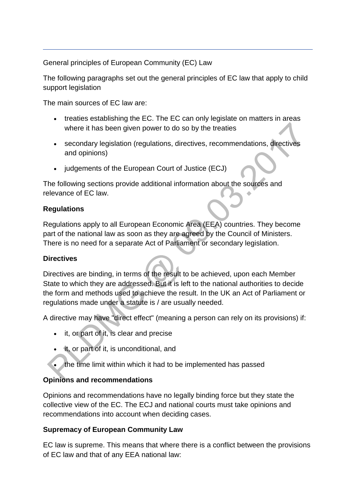General principles of European Community (EC) Law

The following paragraphs set out the general principles of EC law that apply to child support legislation

The main sources of EC law are:

- treaties establishing the EC. The EC can only legislate on matters in areas where it has been given power to do so by the treaties
- secondary legislation (regulations, directives, recommendations, directives and opinions)
- judgements of the European Court of Justice (ECJ)

The following sections provide additional information about the sources and relevance of EC law.

### **Regulations**

Regulations apply to all European Economic Area (EEA) countries. They become part of the national law as soon as they are agreed by the Council of Ministers. There is no need for a separate Act of Parliament or secondary legislation.

# **Directives**

Directives are binding, in terms of the result to be achieved, upon each Member State to which they are addressed. But it is left to the national authorities to decide the form and methods used to achieve the result. In the UK an Act of Parliament or regulations made under a statute is / are usually needed.

A directive may have "direct effect" (meaning a person can rely on its provisions) if:

- it, or part of it, is clear and precise
- it, or part of it, is unconditional, and
- the time limit within which it had to be implemented has passed

# **Opinions and recommendations**

Opinions and recommendations have no legally binding force but they state the collective view of the EC. The ECJ and national courts must take opinions and recommendations into account when deciding cases.

#### **Supremacy of European Community Law**

EC law is supreme. This means that where there is a conflict between the provisions of EC law and that of any EEA national law: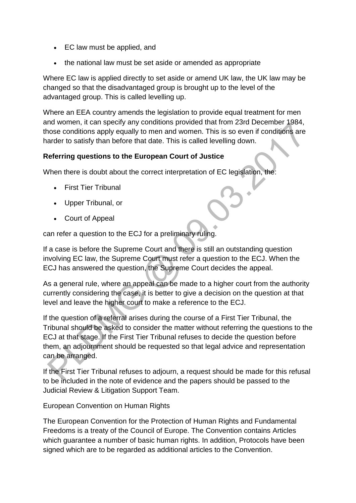- EC law must be applied, and
- the national law must be set aside or amended as appropriate

Where EC law is applied directly to set aside or amend UK law, the UK law may be changed so that the disadvantaged group is brought up to the level of the advantaged group. This is called levelling up.

Where an EEA country amends the legislation to provide equal treatment for men and women, it can specify any conditions provided that from 23rd December 1984, those conditions apply equally to men and women. This is so even if conditions are harder to satisfy than before that date. This is called levelling down.

### **Referring questions to the European Court of Justice**

When there is doubt about the correct interpretation of EC legislation, the:

- First Tier Tribunal
- Upper Tribunal, or
- Court of Appeal

can refer a question to the ECJ for a preliminary ruling.

If a case is before the Supreme Court and there is still an outstanding question involving EC law, the Supreme Court must refer a question to the ECJ. When the ECJ has answered the question, the Supreme Court decides the appeal.

As a general rule, where an appeal can be made to a higher court from the authority currently considering the case, it is better to give a decision on the question at that level and leave the higher court to make a reference to the ECJ.

If the question of a referral arises during the course of a First Tier Tribunal, the Tribunal should be asked to consider the matter without referring the questions to the ECJ at that stage. If the First Tier Tribunal refuses to decide the question before them, an adjournment should be requested so that legal advice and representation can be arranged.

If the First Tier Tribunal refuses to adjourn, a request should be made for this refusal to be included in the note of evidence and the papers should be passed to the Judicial Review & Litigation Support Team.

European Convention on Human Rights

The European Convention for the Protection of Human Rights and Fundamental Freedoms is a treaty of the Council of Europe. The Convention contains Articles which guarantee a number of basic human rights. In addition, Protocols have been signed which are to be regarded as additional articles to the Convention.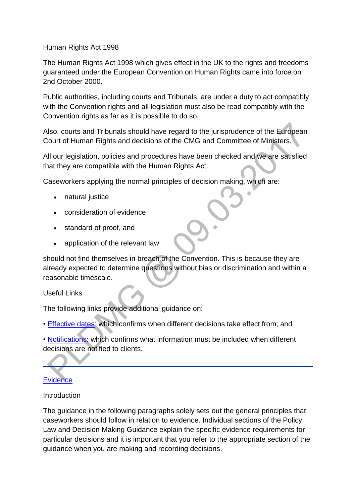Human Rights Act 1998

The Human Rights Act 1998 which gives effect in the UK to the rights and freedoms guaranteed under the European Convention on Human Rights came into force on 2nd October 2000.

Public authorities, including courts and Tribunals, are under a duty to act compatibly with the Convention rights and all legislation must also be read compatibly with the Convention rights as far as it is possible to do so.

Also, courts and Tribunals should have regard to the jurisprudence of the European Court of Human Rights and decisions of the CMG and Committee of Ministers.

All our legislation, policies and procedures have been checked and we are satisfied that they are compatible with the Human Rights Act.

Caseworkers applying the normal principles of decision making, which are:

- natural justice
- consideration of evidence
- standard of proof, and
- application of the relevant law

should not find themselves in breach of the Convention. This is because they are already expected to determine questions without bias or discrimination and within a reasonable timescale.

Useful Links

The following links provide additional guidance on:

• [Effective dates:](http://np-cmg-sharepoint.link2.gpn.gov.uk/sites/policy-law-and-decision-making-guidance/Pages/Initial-Effective-Dates.aspx) which confirms when different decisions take effect from; and

• [Notifications:](http://np-cmg-sharepoint.link2.gpn.gov.uk/sites/policy-law-and-decision-making-guidance/Pages/Notifications/Notifications.aspx) which confirms what information must be included when different decisions are notified to clients.

# **[Evidence](http://np-cmg-sharepoint.link2.gpn.gov.uk/sites/policy-law-and-decision-making-guidance/Pages/Evidence%20and%20decision%20making/Evidence-and-decision-making.aspx)**

#### **Introduction**

The guidance in the following paragraphs solely sets out the general principles that caseworkers should follow in relation to evidence. Individual sections of the Policy, Law and Decision Making Guidance explain the specific evidence requirements for particular decisions and it is important that you refer to the appropriate section of the guidance when you are making and recording decisions.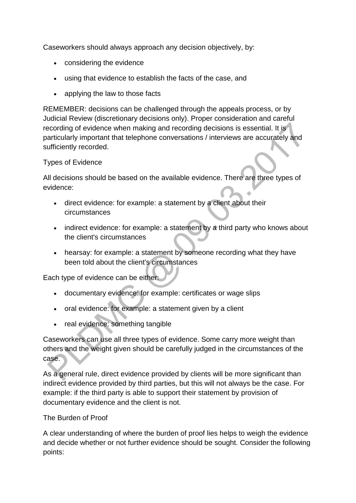Caseworkers should always approach any decision objectively, by:

- considering the evidence
- using that evidence to establish the facts of the case, and
- applying the law to those facts

REMEMBER: decisions can be challenged through the appeals process, or by Judicial Review (discretionary decisions only). Proper consideration and careful recording of evidence when making and recording decisions is essential. It is particularly important that telephone conversations / interviews are accurately and sufficiently recorded.

#### Types of Evidence

All decisions should be based on the available evidence. There are three types of evidence:

- direct evidence: for example: a statement by a client about their circumstances
- indirect evidence: for example: a statement by a third party who knows about the client's circumstances
- hearsay: for example: a statement by someone recording what they have been told about the client's circumstances

Each type of evidence can be either:

- documentary evidence: for example: certificates or wage slips
- oral evidence: for example: a statement given by a client
- real evidence: something tangible

Caseworkers can use all three types of evidence. Some carry more weight than others and the weight given should be carefully judged in the circumstances of the case.

As a general rule, direct evidence provided by clients will be more significant than indirect evidence provided by third parties, but this will not always be the case. For example: if the third party is able to support their statement by provision of documentary evidence and the client is not.

#### The Burden of Proof

A clear understanding of where the burden of proof lies helps to weigh the evidence and decide whether or not further evidence should be sought. Consider the following points: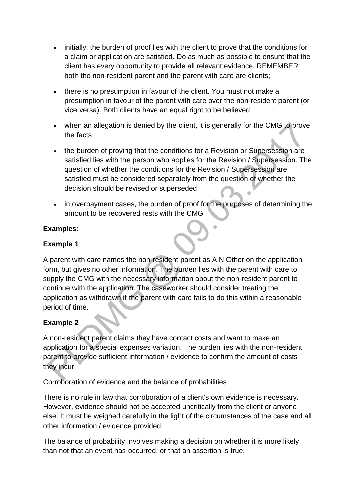- initially, the burden of proof lies with the client to prove that the conditions for a claim or application are satisfied. Do as much as possible to ensure that the client has every opportunity to provide all relevant evidence. REMEMBER: both the non-resident parent and the parent with care are clients;
- there is no presumption in favour of the client. You must not make a presumption in favour of the parent with care over the non-resident parent (or vice versa). Both clients have an equal right to be believed
- when an allegation is denied by the client, it is generally for the CMG to prove the facts
- the burden of proving that the conditions for a Revision or Supersession are satisfied lies with the person who applies for the Revision / Supersession. The question of whether the conditions for the Revision / Supersession are satisfied must be considered separately from the question of whether the decision should be revised or superseded  $\ddot{\phantom{a}}$
- in overpayment cases, the burden of proof for the purposes of determining the amount to be recovered rests with the CMG

### **Examples:**

### **Example 1**

A parent with care names the non-resident parent as A N Other on the application form, but gives no other information. The burden lies with the parent with care to supply the CMG with the necessary information about the non-resident parent to continue with the application. The caseworker should consider treating the application as withdrawn if the parent with care fails to do this within a reasonable period of time.

#### **Example 2**

A non-resident parent claims they have contact costs and want to make an application for a special expenses variation. The burden lies with the non-resident parent to provide sufficient information / evidence to confirm the amount of costs they incur.

Corroboration of evidence and the balance of probabilities

There is no rule in law that corroboration of a client's own evidence is necessary. However, evidence should not be accepted uncritically from the client or anyone else. It must be weighed carefully in the light of the circumstances of the case and all other information / evidence provided.

The balance of probability involves making a decision on whether it is more likely than not that an event has occurred, or that an assertion is true.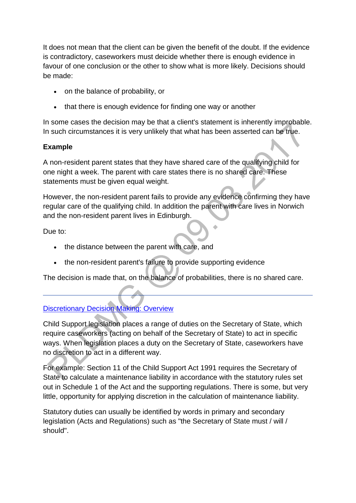It does not mean that the client can be given the benefit of the doubt. If the evidence is contradictory, caseworkers must deicide whether there is enough evidence in favour of one conclusion or the other to show what is more likely. Decisions should be made:

- on the balance of probability, or
- that there is enough evidence for finding one way or another

In some cases the decision may be that a client's statement is inherently improbable. In such circumstances it is very unlikely that what has been asserted can be true.

#### **Example**

A non-resident parent states that they have shared care of the qualifying child for one night a week. The parent with care states there is no shared care. These statements must be given equal weight.

However, the non-resident parent fails to provide any evidence confirming they have regular care of the qualifying child. In addition the parent with care lives in Norwich and the non-resident parent lives in Edinburgh.

Due to:

- the distance between the parent with care, and
- the non-resident parent's failure to provide supporting evidence

The decision is made that, on the balance of probabilities, there is no shared care.

# **[Discretionary Decision Making: Overview](http://np-cmg-sharepoint.link2.gpn.gov.uk/sites/policy-law-and-decision-making-guidance/Pages/Evidence%20and%20decision%20making/Evidence-and-decision-making.aspx)**

Child Support legislation places a range of duties on the Secretary of State, which require caseworkers (acting on behalf of the Secretary of State) to act in specific ways. When legislation places a duty on the Secretary of State, caseworkers have no discretion to act in a different way.

For example: Section 11 of the Child Support Act 1991 requires the Secretary of State to calculate a maintenance liability in accordance with the statutory rules set out in Schedule 1 of the Act and the supporting regulations. There is some, but very little, opportunity for applying discretion in the calculation of maintenance liability.

Statutory duties can usually be identified by words in primary and secondary legislation (Acts and Regulations) such as "the Secretary of State must / will / should".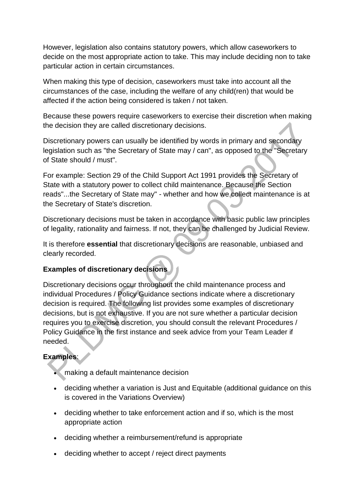However, legislation also contains statutory powers, which allow caseworkers to decide on the most appropriate action to take. This may include deciding non to take particular action in certain circumstances.

When making this type of decision, caseworkers must take into account all the circumstances of the case, including the welfare of any child(ren) that would be affected if the action being considered is taken / not taken.

Because these powers require caseworkers to exercise their discretion when making the decision they are called discretionary decisions.

Discretionary powers can usually be identified by words in primary and secondary legislation such as "the Secretary of State may / can", as opposed to the "Secretary of State should / must".

For example: Section 29 of the Child Support Act 1991 provides the Secretary of State with a statutory power to collect child maintenance. Because the Section reads"...the Secretary of State may" - whether and how we collect maintenance is at the Secretary of State's discretion.

Discretionary decisions must be taken in accordance with basic public law principles of legality, rationality and fairness. If not, they can be challenged by Judicial Review.

It is therefore **essential** that discretionary decisions are reasonable, unbiased and clearly recorded.

# **Examples of discretionary decisions**

Discretionary decisions occur throughout the child maintenance process and individual Procedures / Policy Guidance sections indicate where a discretionary decision is required. The following list provides some examples of discretionary decisions, but is not exhaustive. If you are not sure whether a particular decision requires you to exercise discretion, you should consult the relevant Procedures / Policy Guidance in the first instance and seek advice from your Team Leader if needed.

# **Examples**:

- making a default maintenance decision
- deciding whether a variation is Just and Equitable (additional guidance on this is covered in the Variations Overview)
- deciding whether to take enforcement action and if so, which is the most appropriate action
- deciding whether a reimbursement/refund is appropriate
- deciding whether to accept / reject direct payments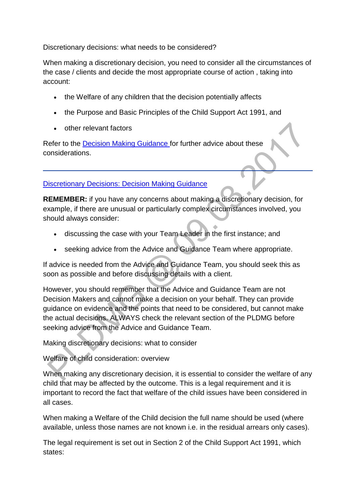Discretionary decisions: what needs to be considered?

When making a discretionary decision, you need to consider all the circumstances of the case / clients and decide the most appropriate course of action , taking into account:

- the Welfare of any children that the decision potentially affects
- the Purpose and Basic Principles of the Child Support Act 1991, and
- other relevant factors

Refer to the [Decision Making Guidance f](http://np-cmg-sharepoint.link2.gpn.gov.uk/sites/policy-law-and-decision-making-guidance/Pages/Evidence%20and%20decision%20making/Evidence-and-decision-making.aspx#DDMguidance)or further advice about these considerations.

#### [Discretionary Decisions: Decision Making Guidance](http://np-cmg-sharepoint.link2.gpn.gov.uk/sites/policy-law-and-decision-making-guidance/Pages/Evidence%20and%20decision%20making/Evidence-and-decision-making.aspx)

**REMEMBER:** if you have any concerns about making a discretionary decision, for example, if there are unusual or particularly complex circumstances involved, you should always consider:

- discussing the case with your Team Leader in the first instance; and
- seeking advice from the Advice and Guidance Team where appropriate.

If advice is needed from the Advice and Guidance Team, you should seek this as soon as possible and before discussing details with a client.

However, you should remember that the Advice and Guidance Team are not Decision Makers and cannot make a decision on your behalf. They can provide guidance on evidence and the points that need to be considered, but cannot make the actual decisions. ALWAYS check the relevant section of the PLDMG before seeking advice from the Advice and Guidance Team.

Making discretionary decisions: what to consider

Welfare of child consideration: overview

When making any discretionary decision, it is essential to consider the welfare of any child that may be affected by the outcome. This is a legal requirement and it is important to record the fact that welfare of the child issues have been considered in all cases.

When making a Welfare of the Child decision the full name should be used (where available, unless those names are not known i.e. in the residual arrears only cases).

The legal requirement is set out in Section 2 of the Child Support Act 1991, which states: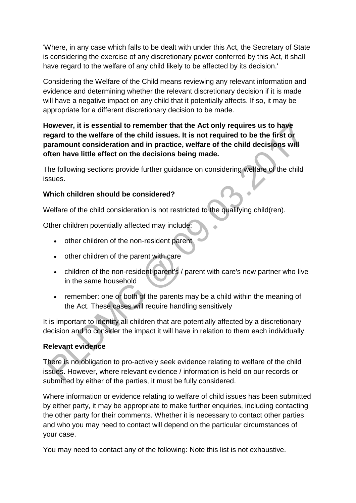'Where, in any case which falls to be dealt with under this Act, the Secretary of State is considering the exercise of any discretionary power conferred by this Act, it shall have regard to the welfare of any child likely to be affected by its decision.'

Considering the Welfare of the Child means reviewing any relevant information and evidence and determining whether the relevant discretionary decision if it is made will have a negative impact on any child that it potentially affects. If so, it may be appropriate for a different discretionary decision to be made.

### **However, it is essential to remember that the Act only requires us to have regard to the welfare of the child issues. It is not required to be the first or paramount consideration and in practice, welfare of the child decisions will often have little effect on the decisions being made.**

The following sections provide further guidance on considering welfare of the child issues.

### **Which children should be considered?**

Welfare of the child consideration is not restricted to the qualifying child(ren).

Other children potentially affected may include:

- other children of the non-resident parent
- other children of the parent with care
- children of the non-resident parent's / parent with care's new partner who live in the same household
- remember: one or both of the parents may be a child within the meaning of the Act. These cases will require handling sensitively

It is important to identify all children that are potentially affected by a discretionary decision and to consider the impact it will have in relation to them each individually.

# **Relevant evidence**

There is no obligation to pro-actively seek evidence relating to welfare of the child issues. However, where relevant evidence / information is held on our records or submitted by either of the parties, it must be fully considered.

Where information or evidence relating to welfare of child issues has been submitted by either party, it may be appropriate to make further enquiries, including contacting the other party for their comments. Whether it is necessary to contact other parties and who you may need to contact will depend on the particular circumstances of your case.

You may need to contact any of the following: Note this list is not exhaustive.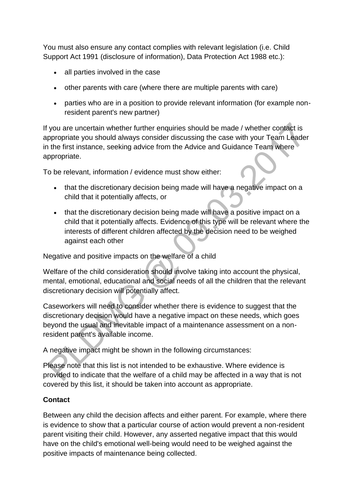You must also ensure any contact complies with relevant legislation (i.e. Child Support Act 1991 (disclosure of information), Data Protection Act 1988 etc.):

- all parties involved in the case
- other parents with care (where there are multiple parents with care)
- parties who are in a position to provide relevant information (for example nonresident parent's new partner)

If you are uncertain whether further enquiries should be made / whether contact is appropriate you should always consider discussing the case with your Team Leader in the first instance, seeking advice from the Advice and Guidance Team where appropriate.

To be relevant, information / evidence must show either:

- that the discretionary decision being made will have a negative impact on a child that it potentially affects, or
- that the discretionary decision being made will have a positive impact on a child that it potentially affects. Evidence of this type will be relevant where the interests of different children affected by the decision need to be weighed against each other

Negative and positive impacts on the welfare of a child

Welfare of the child consideration should involve taking into account the physical, mental, emotional, educational and social needs of all the children that the relevant discretionary decision will potentially affect.

Caseworkers will need to consider whether there is evidence to suggest that the discretionary decision would have a negative impact on these needs, which goes beyond the usual and inevitable impact of a maintenance assessment on a nonresident parent's available income.

A negative impact might be shown in the following circumstances:

Please note that this list is not intended to be exhaustive. Where evidence is provided to indicate that the welfare of a child may be affected in a way that is not covered by this list, it should be taken into account as appropriate.

# **Contact**

Between any child the decision affects and either parent. For example, where there is evidence to show that a particular course of action would prevent a non-resident parent visiting their child. However, any asserted negative impact that this would have on the child's emotional well-being would need to be weighed against the positive impacts of maintenance being collected.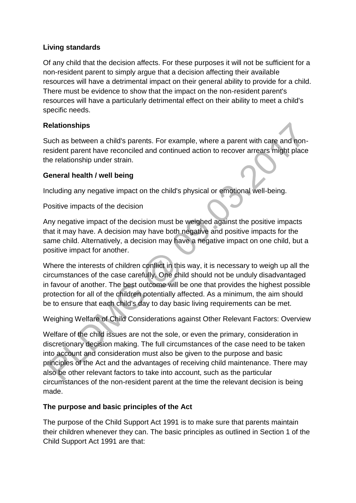### **Living standards**

Of any child that the decision affects. For these purposes it will not be sufficient for a non-resident parent to simply argue that a decision affecting their available resources will have a detrimental impact on their general ability to provide for a child. There must be evidence to show that the impact on the non-resident parent's resources will have a particularly detrimental effect on their ability to meet a child's specific needs.

### **Relationships**

Such as between a child's parents. For example, where a parent with care and nonresident parent have reconciled and continued action to recover arrears might place the relationship under strain.

### **General health / well being**

Including any negative impact on the child's physical or emotional well-being.

Positive impacts of the decision

Any negative impact of the decision must be weighed against the positive impacts that it may have. A decision may have both negative and positive impacts for the same child. Alternatively, a decision may have a negative impact on one child, but a positive impact for another.

Where the interests of children conflict in this way, it is necessary to weigh up all the circumstances of the case carefully. One child should not be unduly disadvantaged in favour of another. The best outcome will be one that provides the highest possible protection for all of the children potentially affected. As a minimum, the aim should be to ensure that each child's day to day basic living requirements can be met.

Weighing Welfare of Child Considerations against Other Relevant Factors: Overview

Welfare of the child issues are not the sole, or even the primary, consideration in discretionary decision making. The full circumstances of the case need to be taken into account and consideration must also be given to the purpose and basic principles of the Act and the advantages of receiving child maintenance. There may also be other relevant factors to take into account, such as the particular circumstances of the non-resident parent at the time the relevant decision is being made.

#### **The purpose and basic principles of the Act**

The purpose of the Child Support Act 1991 is to make sure that parents maintain their children whenever they can. The basic principles as outlined in Section 1 of the Child Support Act 1991 are that: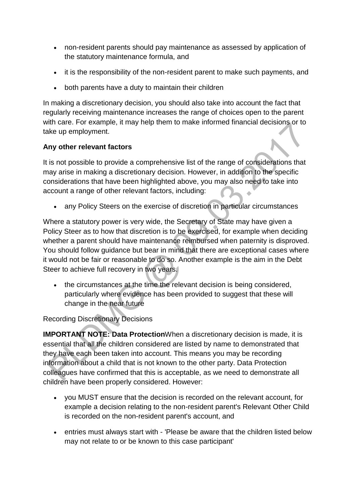- non-resident parents should pay maintenance as assessed by application of the statutory maintenance formula, and
- it is the responsibility of the non-resident parent to make such payments, and
- both parents have a duty to maintain their children

In making a discretionary decision, you should also take into account the fact that regularly receiving maintenance increases the range of choices open to the parent with care. For example, it may help them to make informed financial decisions or to take up employment.

# **Any other relevant factors**

It is not possible to provide a comprehensive list of the range of considerations that may arise in making a discretionary decision. However, in addition to the specific considerations that have been highlighted above, you may also need to take into account a range of other relevant factors, including: Ä

any Policy Steers on the exercise of discretion in particular circumstances

Where a statutory power is very wide, the Secretary of State may have given a Policy Steer as to how that discretion is to be exercised, for example when deciding whether a parent should have maintenance reimbursed when paternity is disproved. You should follow guidance but bear in mind that there are exceptional cases where it would not be fair or reasonable to do so. Another example is the aim in the Debt Steer to achieve full recovery in two years.

• the circumstances at the time the relevant decision is being considered, particularly where evidence has been provided to suggest that these will change in the near future

Recording Discretionary Decisions

**IMPORTANT NOTE: Data Protection**When a discretionary decision is made, it is essential that all the children considered are listed by name to demonstrated that they have each been taken into account. This means you may be recording information about a child that is not known to the other party. Data Protection colleagues have confirmed that this is acceptable, as we need to demonstrate all children have been properly considered. However:

- you MUST ensure that the decision is recorded on the relevant account, for example a decision relating to the non-resident parent's Relevant Other Child is recorded on the non-resident parent's account, and
- entries must always start with 'Please be aware that the children listed below may not relate to or be known to this case participant'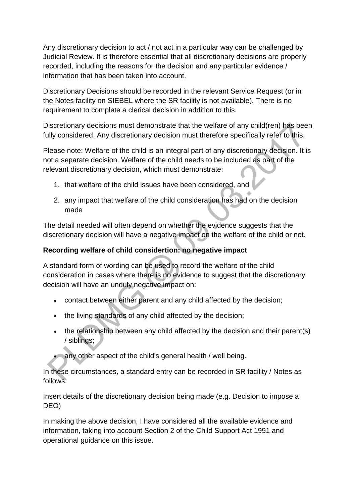Any discretionary decision to act / not act in a particular way can be challenged by Judicial Review. It is therefore essential that all discretionary decisions are properly recorded, including the reasons for the decision and any particular evidence / information that has been taken into account.

Discretionary Decisions should be recorded in the relevant Service Request (or in the Notes facility on SIEBEL where the SR facility is not available). There is no requirement to complete a clerical decision in addition to this.

Discretionary decisions must demonstrate that the welfare of any child(ren) has been fully considered. Any discretionary decision must therefore specifically refer to this.

Please note: Welfare of the child is an integral part of any discretionary decision. It is not a separate decision. Welfare of the child needs to be included as part of the relevant discretionary decision, which must demonstrate:

- 1. that welfare of the child issues have been considered, and
- 2. any impact that welfare of the child consideration has had on the decision made

The detail needed will often depend on whether the evidence suggests that the discretionary decision will have a negative impact on the welfare of the child or not.

### **Recording welfare of child considertion: no negative impact**

A standard form of wording can be used to record the welfare of the child consideration in cases where there is no evidence to suggest that the discretionary decision will have an unduly negative impact on:

- contact between either parent and any child affected by the decision;
- the living standards of any child affected by the decision;
- the relationship between any child affected by the decision and their parent(s) / siblings;

any other aspect of the child's general health / well being.

In these circumstances, a standard entry can be recorded in SR facility / Notes as follows:

Insert details of the discretionary decision being made (e.g. Decision to impose a DEO)

In making the above decision, I have considered all the available evidence and information, taking into account Section 2 of the Child Support Act 1991 and operational guidance on this issue.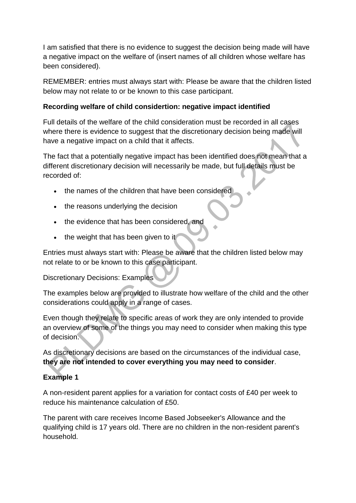I am satisfied that there is no evidence to suggest the decision being made will have a negative impact on the welfare of (insert names of all children whose welfare has been considered).

REMEMBER: entries must always start with: Please be aware that the children listed below may not relate to or be known to this case participant.

### **Recording welfare of child considertion: negative impact identified**

Full details of the welfare of the child consideration must be recorded in all cases where there is evidence to suggest that the discretionary decision being made will have a negative impact on a child that it affects.

The fact that a potentially negative impact has been identified does not mean that a different discretionary decision will necessarily be made, but full details must be recorded of:

- the names of the children that have been considered
- the reasons underlying the decision
- the evidence that has been considered, and
- $\bullet$  the weight that has been given to it

Entries must always start with: Please be aware that the children listed below may not relate to or be known to this case participant.

Discretionary Decisions: Examples

The examples below are provided to illustrate how welfare of the child and the other considerations could apply in a range of cases.

Even though they relate to specific areas of work they are only intended to provide an overview of some of the things you may need to consider when making this type of decision.

As discretionary decisions are based on the circumstances of the individual case, **they are not intended to cover everything you may need to consider**.

# **Example 1**

A non-resident parent applies for a variation for contact costs of £40 per week to reduce his maintenance calculation of £50.

The parent with care receives Income Based Jobseeker's Allowance and the qualifying child is 17 years old. There are no children in the non-resident parent's household.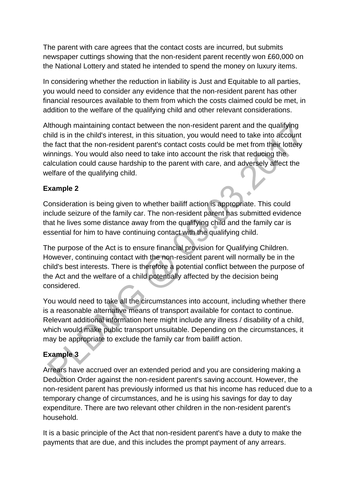The parent with care agrees that the contact costs are incurred, but submits newspaper cuttings showing that the non-resident parent recently won £60,000 on the National Lottery and stated he intended to spend the money on luxury items.

In considering whether the reduction in liability is Just and Equitable to all parties, you would need to consider any evidence that the non-resident parent has other financial resources available to them from which the costs claimed could be met, in addition to the welfare of the qualifying child and other relevant considerations.

Although maintaining contact between the non-resident parent and the qualifying child is in the child's interest, in this situation, you would need to take into account the fact that the non-resident parent's contact costs could be met from their lottery winnings. You would also need to take into account the risk that reducing the calculation could cause hardship to the parent with care, and adversely affect the welfare of the qualifying child.

# **Example 2**

Consideration is being given to whether bailiff action is appropriate. This could include seizure of the family car. The non-resident parent has submitted evidence that he lives some distance away from the qualifying child and the family car is essential for him to have continuing contact with the qualifying child.

The purpose of the Act is to ensure financial provision for Qualifying Children. However, continuing contact with the non-resident parent will normally be in the child's best interests. There is therefore a potential conflict between the purpose of the Act and the welfare of a child potentially affected by the decision being considered.

You would need to take all the circumstances into account, including whether there is a reasonable alternative means of transport available for contact to continue. Relevant additional information here might include any illness / disability of a child, which would make public transport unsuitable. Depending on the circumstances, it may be appropriate to exclude the family car from bailiff action.

# **Example 3**

Arrears have accrued over an extended period and you are considering making a Deduction Order against the non-resident parent's saving account. However, the non-resident parent has previously informed us that his income has reduced due to a temporary change of circumstances, and he is using his savings for day to day expenditure. There are two relevant other children in the non-resident parent's household.

It is a basic principle of the Act that non-resident parent's have a duty to make the payments that are due, and this includes the prompt payment of any arrears.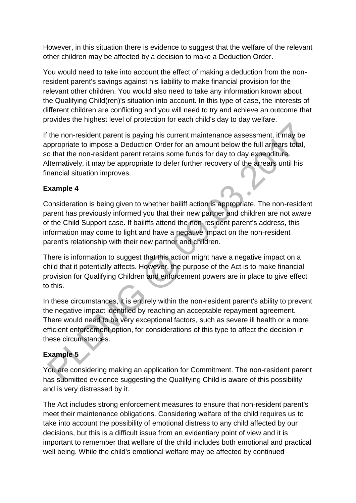However, in this situation there is evidence to suggest that the welfare of the relevant other children may be affected by a decision to make a Deduction Order.

You would need to take into account the effect of making a deduction from the nonresident parent's savings against his liability to make financial provision for the relevant other children. You would also need to take any information known about the Qualifying Child(ren)'s situation into account. In this type of case, the interests of different children are conflicting and you will need to try and achieve an outcome that provides the highest level of protection for each child's day to day welfare.

If the non-resident parent is paying his current maintenance assessment, it may be appropriate to impose a Deduction Order for an amount below the full arrears total, so that the non-resident parent retains some funds for day to day expenditure. Alternatively, it may be appropriate to defer further recovery of the arrears until his financial situation improves.

### **Example 4**

Consideration is being given to whether bailiff action is appropriate. The non-resident parent has previously informed you that their new partner and children are not aware of the Child Support case. If bailiffs attend the non-resident parent's address, this information may come to light and have a negative impact on the non-resident parent's relationship with their new partner and children.

There is information to suggest that this action might have a negative impact on a child that it potentially affects. However, the purpose of the Act is to make financial provision for Qualifying Children and enforcement powers are in place to give effect to this.

In these circumstances, it is entirely within the non-resident parent's ability to prevent the negative impact identified by reaching an acceptable repayment agreement. There would need to be very exceptional factors, such as severe ill health or a more efficient enforcement option, for considerations of this type to affect the decision in these circumstances.

# **Example 5**

You are considering making an application for Commitment. The non-resident parent has submitted evidence suggesting the Qualifying Child is aware of this possibility and is very distressed by it.

The Act includes strong enforcement measures to ensure that non-resident parent's meet their maintenance obligations. Considering welfare of the child requires us to take into account the possibility of emotional distress to any child affected by our decisions, but this is a difficult issue from an evidentiary point of view and it is important to remember that welfare of the child includes both emotional and practical well being. While the child's emotional welfare may be affected by continued